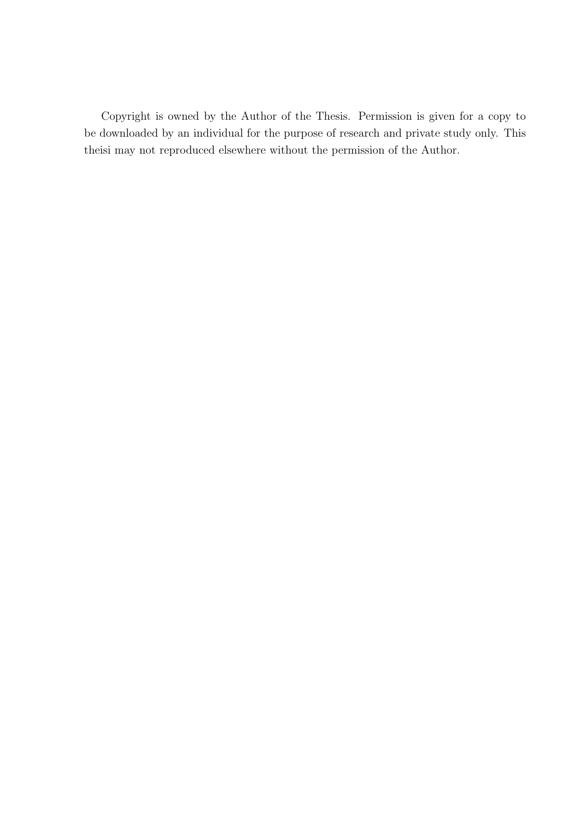Copyright is owned by the Author of the Thesis. Permission is given for a copy to be downloaded by an individual for the purpose of research and private study only. This theisi may not reproduced elsewhere without the permission of the Author.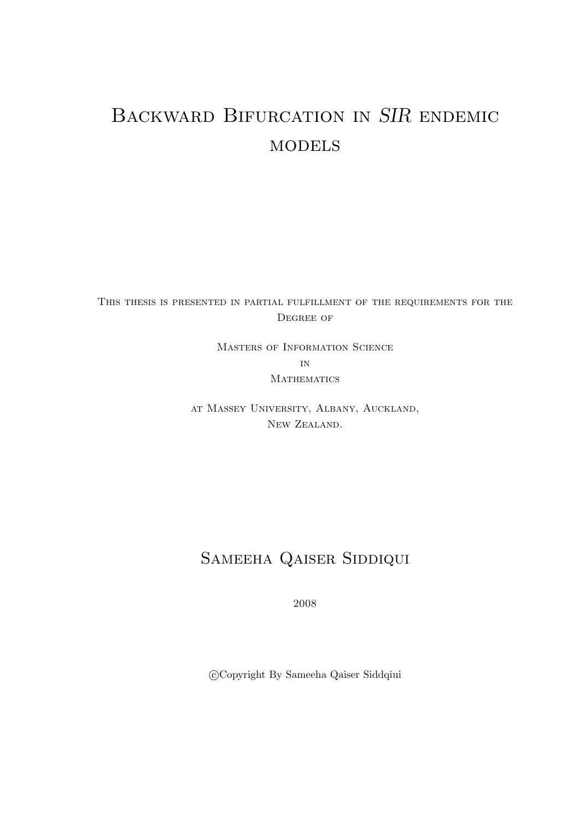# Backward Bifurcation in SIR endemic **MODELS**

This thesis is presented in partial fulfillment of the requirements for the DEGREE OF

> Masters of Information Science in **MATHEMATICS**

at Massey University, Albany, Auckland, New Zealand.

## SAMEEHA QAISER SIDDIQUI

2008

c Copyright By Sameeha Qaiser Siddqiui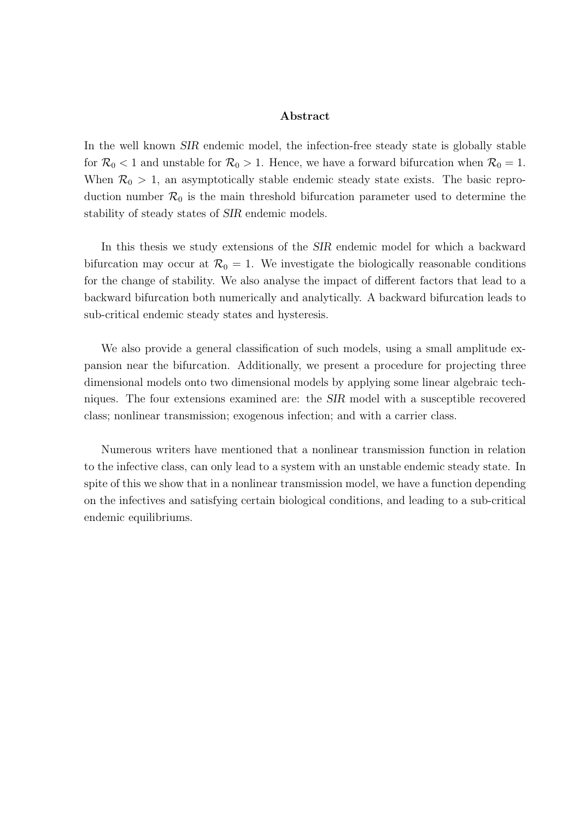#### Abstract

In the well known SIR endemic model, the infection-free steady state is globally stable for  $\mathcal{R}_0$  < 1 and unstable for  $\mathcal{R}_0 > 1$ . Hence, we have a forward bifurcation when  $\mathcal{R}_0 = 1$ . When  $\mathcal{R}_0 > 1$ , an asymptotically stable endemic steady state exists. The basic reproduction number  $\mathcal{R}_0$  is the main threshold bifurcation parameter used to determine the stability of steady states of SIR endemic models.

In this thesis we study extensions of the SIR endemic model for which a backward bifurcation may occur at  $\mathcal{R}_0 = 1$ . We investigate the biologically reasonable conditions for the change of stability. We also analyse the impact of different factors that lead to a backward bifurcation both numerically and analytically. A backward bifurcation leads to sub-critical endemic steady states and hysteresis.

We also provide a general classification of such models, using a small amplitude expansion near the bifurcation. Additionally, we present a procedure for projecting three dimensional models onto two dimensional models by applying some linear algebraic techniques. The four extensions examined are: the SIR model with a susceptible recovered class; nonlinear transmission; exogenous infection; and with a carrier class.

Numerous writers have mentioned that a nonlinear transmission function in relation to the infective class, can only lead to a system with an unstable endemic steady state. In spite of this we show that in a nonlinear transmission model, we have a function depending on the infectives and satisfying certain biological conditions, and leading to a sub-critical endemic equilibriums.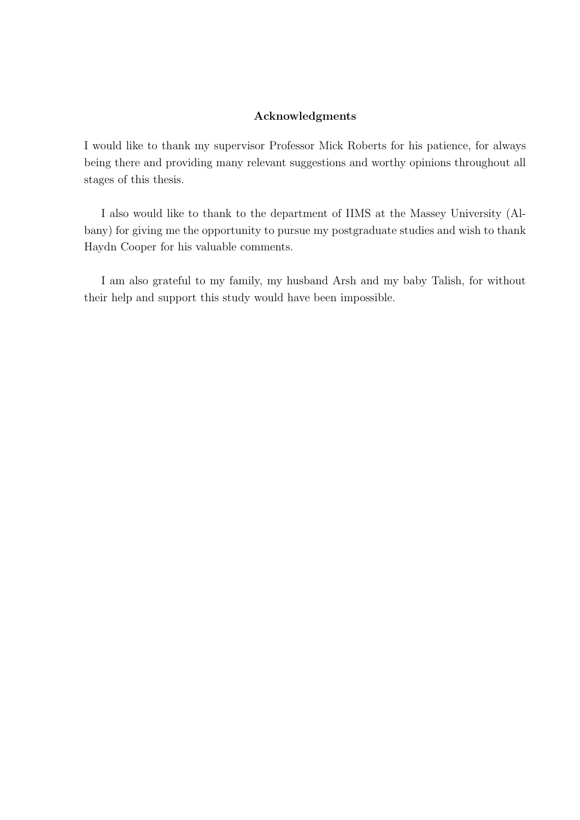#### Acknowledgments

I would like to thank my supervisor Professor Mick Roberts for his patience, for always being there and providing many relevant suggestions and worthy opinions throughout all stages of this thesis.

I also would like to thank to the department of IIMS at the Massey University (Albany) for giving me the opportunity to pursue my postgraduate studies and wish to thank Haydn Cooper for his valuable comments.

I am also grateful to my family, my husband Arsh and my baby Talish, for without their help and support this study would have been impossible.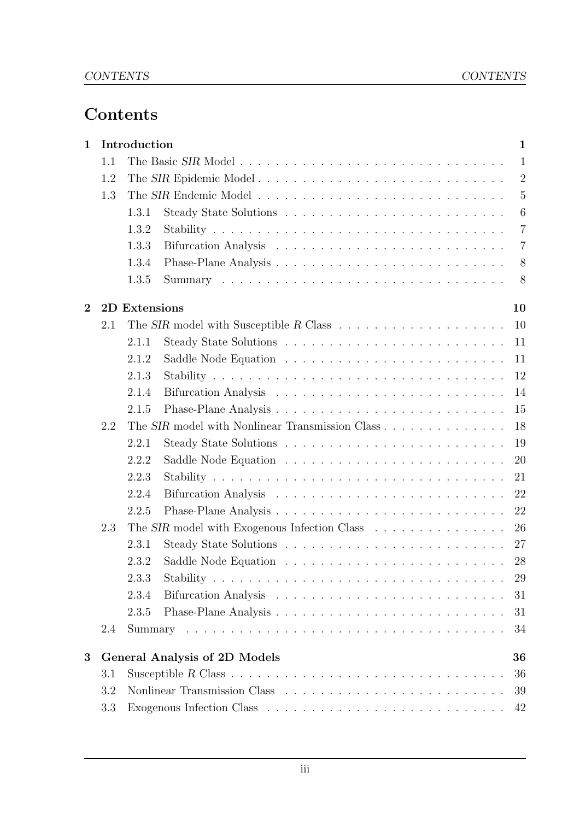### Contents

| $\mathbf 1$    |     | Introduction<br>$\mathbf 1$                                                              |                |
|----------------|-----|------------------------------------------------------------------------------------------|----------------|
|                | 1.1 | $\mathbf{1}$                                                                             |                |
|                | 1.2 | The SIR Epidemic Model                                                                   | $\overline{2}$ |
|                | 1.3 |                                                                                          | $\overline{5}$ |
|                |     | 1.3.1<br>6                                                                               |                |
|                |     | 1.3.2<br>$\overline{7}$                                                                  |                |
|                |     | 1.3.3<br>$\overline{7}$                                                                  |                |
|                |     | 1.3.4<br>8                                                                               |                |
|                |     | 1.3.5<br>8                                                                               |                |
| $\overline{2}$ |     | 2D Extensions<br>10                                                                      |                |
|                | 2.1 | The SIR model with Susceptible R Class $\dots \dots \dots \dots \dots \dots \dots$<br>10 |                |
|                |     | 2.1.1<br>11                                                                              |                |
|                |     | 2.1.2<br>11                                                                              |                |
|                |     | 2.1.3<br>12                                                                              |                |
|                |     | 2.1.4<br>14                                                                              |                |
|                |     | 2.1.5<br>15                                                                              |                |
|                | 2.2 | The SIR model with Nonlinear Transmission Class<br>18                                    |                |
|                |     | 19<br>2.2.1                                                                              |                |
|                |     | 2.2.2<br>20                                                                              |                |
|                |     | 2.2.3<br>21                                                                              |                |
|                |     | 2.2.4<br>22                                                                              |                |
|                |     | 22<br>2.2.5                                                                              |                |
|                | 2.3 | The SIR model with Exogenous Infection Class<br>26                                       |                |
|                |     | 2.3.1<br>27                                                                              |                |
|                |     | 2.3.2<br>28                                                                              |                |
|                |     | 2.3.3<br>29                                                                              |                |
|                |     | 2.3.4<br>31                                                                              |                |
|                |     | 31<br>2.3.5                                                                              |                |
|                | 2.4 | 34                                                                                       |                |
| $\bf{3}$       |     | <b>General Analysis of 2D Models</b><br>36                                               |                |
|                | 3.1 | 36                                                                                       |                |
|                | 3.2 | 39                                                                                       |                |
|                | 3.3 | 42                                                                                       |                |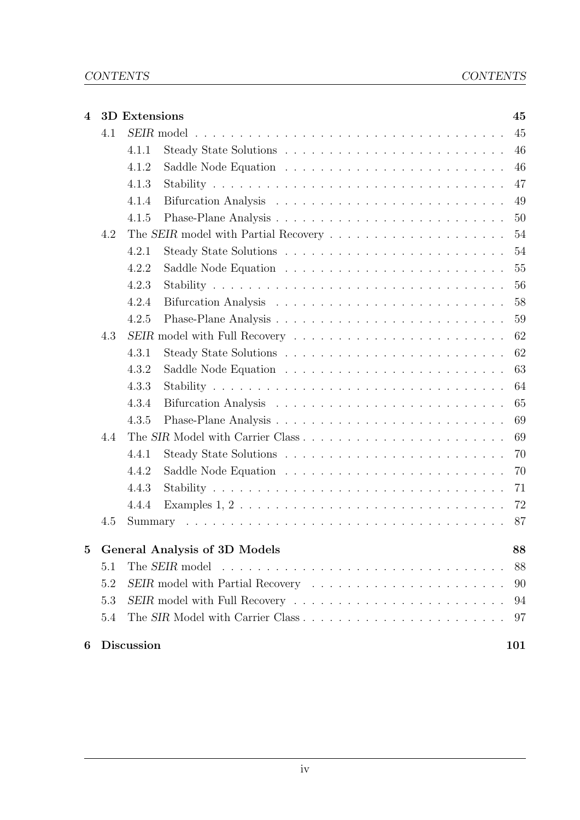| $\overline{\mathbf{4}}$ |     | 3D Extensions     |                                                                                                    | 45  |
|-------------------------|-----|-------------------|----------------------------------------------------------------------------------------------------|-----|
|                         | 4.1 |                   | $SEIR$ model $\ldots \ldots \ldots \ldots \ldots \ldots \ldots \ldots \ldots \ldots \ldots \ldots$ | 45  |
|                         |     | 4.1.1             |                                                                                                    | 46  |
|                         |     | 4.1.2             |                                                                                                    | 46  |
|                         |     | 4.1.3             |                                                                                                    | 47  |
|                         |     | 4.1.4             |                                                                                                    | 49  |
|                         |     | 4.1.5             |                                                                                                    | 50  |
|                         | 4.2 |                   |                                                                                                    | 54  |
|                         |     | 4.2.1             |                                                                                                    | 54  |
|                         |     | 4.2.2             |                                                                                                    | 55  |
|                         |     | 4.2.3             |                                                                                                    | 56  |
|                         |     | 4.2.4             |                                                                                                    | 58  |
|                         |     | 4.2.5             |                                                                                                    | 59  |
|                         | 4.3 |                   |                                                                                                    | 62  |
|                         |     | 4.3.1             |                                                                                                    | 62  |
|                         |     | 4.3.2             |                                                                                                    | 63  |
|                         |     | 4.3.3             |                                                                                                    | 64  |
|                         |     | 4.3.4             |                                                                                                    | 65  |
|                         |     | 4.3.5             |                                                                                                    | 69  |
|                         | 4.4 |                   |                                                                                                    | 69  |
|                         |     | 4.4.1             |                                                                                                    | 70  |
|                         |     | 4.4.2             |                                                                                                    | 70  |
|                         |     | 4.4.3             |                                                                                                    | 71  |
|                         |     | 4.4.4             | Examples $1, 2, \ldots, \ldots, \ldots, \ldots, \ldots, \ldots, \ldots, \ldots, \ldots$            | 72  |
|                         | 4.5 |                   |                                                                                                    | 87  |
| $\bf{5}$                |     |                   | <b>General Analysis of 3D Models</b>                                                               | 88  |
|                         | 5.1 |                   | The SEIR model                                                                                     | 88  |
|                         | 5.2 |                   |                                                                                                    | 90  |
|                         | 5.3 |                   | SEIR model with Full Recovery                                                                      | 94  |
|                         | 5.4 |                   |                                                                                                    | 97  |
| 6                       |     | <b>Discussion</b> |                                                                                                    | 101 |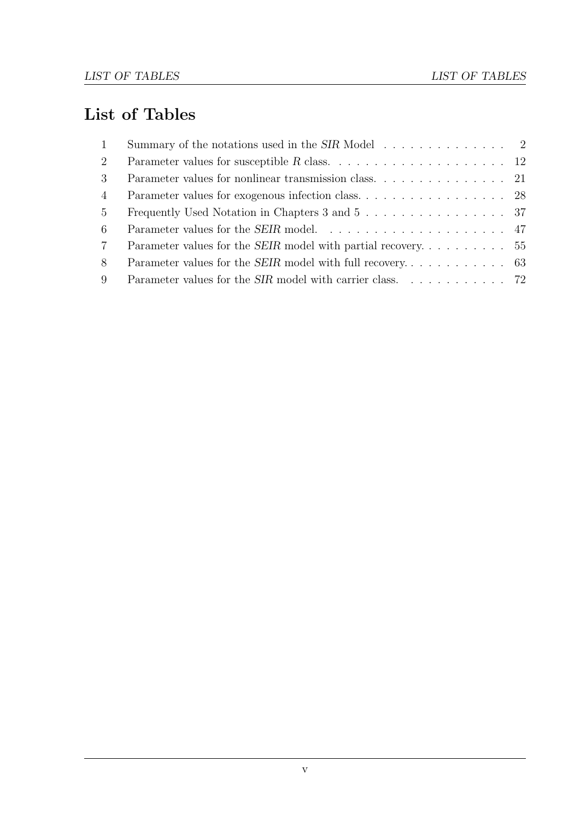### List of Tables

| 1              | Summary of the notations used in the SIR Model $\dots \dots \dots \dots \dots$ |  |
|----------------|--------------------------------------------------------------------------------|--|
| $2^{\circ}$    |                                                                                |  |
| 3 <sup>1</sup> |                                                                                |  |
| $\overline{4}$ |                                                                                |  |
| 5 <sup>5</sup> | Frequently Used Notation in Chapters 3 and 5 37                                |  |
| 6              |                                                                                |  |
| $7\degree$     |                                                                                |  |
| 8              |                                                                                |  |
| 9              |                                                                                |  |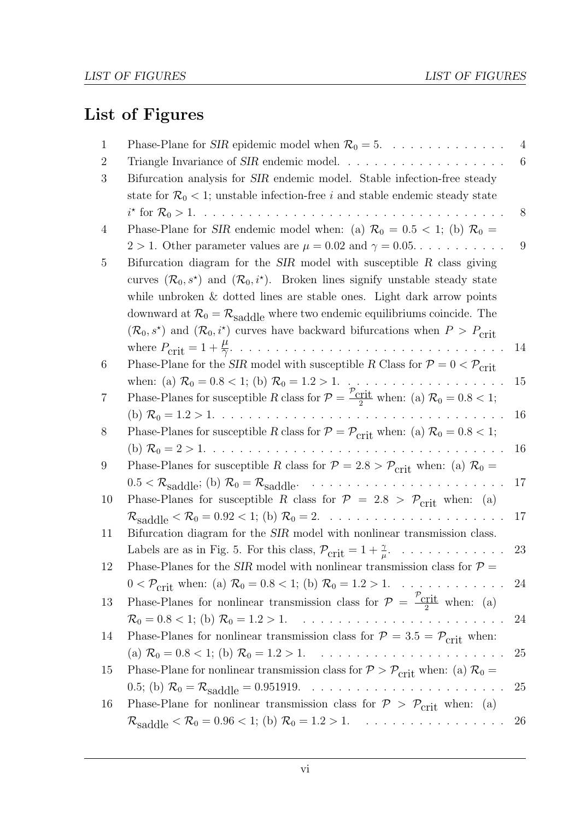# List of Figures

| 1  | Phase-Plane for <i>SIR</i> epidemic model when $\mathcal{R}_0 = 5$ .                                                                                                                                                                                                                                                                                                                                                                                                                                                                            | $\overline{4}$ |
|----|-------------------------------------------------------------------------------------------------------------------------------------------------------------------------------------------------------------------------------------------------------------------------------------------------------------------------------------------------------------------------------------------------------------------------------------------------------------------------------------------------------------------------------------------------|----------------|
| 2  |                                                                                                                                                                                                                                                                                                                                                                                                                                                                                                                                                 | 6              |
| 3  | Bifurcation analysis for <i>SIR</i> endemic model. Stable infection-free steady                                                                                                                                                                                                                                                                                                                                                                                                                                                                 |                |
|    | state for $\mathcal{R}_0$ < 1; unstable infection-free i and stable endemic steady state                                                                                                                                                                                                                                                                                                                                                                                                                                                        |                |
|    |                                                                                                                                                                                                                                                                                                                                                                                                                                                                                                                                                 | 8              |
| 4  | Phase-Plane for SIR endemic model when: (a) $\mathcal{R}_0 = 0.5 < 1$ ; (b) $\mathcal{R}_0 =$                                                                                                                                                                                                                                                                                                                                                                                                                                                   |                |
|    | $2 > 1$ . Other parameter values are $\mu = 0.02$ and $\gamma = 0.05$                                                                                                                                                                                                                                                                                                                                                                                                                                                                           | 9              |
| 5  | Bifurcation diagram for the $SIR$ model with susceptible R class giving                                                                                                                                                                                                                                                                                                                                                                                                                                                                         |                |
|    | curves $(\mathcal{R}_0, s^*)$ and $(\mathcal{R}_0, i^*)$ . Broken lines signify unstable steady state                                                                                                                                                                                                                                                                                                                                                                                                                                           |                |
|    | while unbroken $\&$ dotted lines are stable ones. Light dark arrow points                                                                                                                                                                                                                                                                                                                                                                                                                                                                       |                |
|    | downward at $\mathcal{R}_0 = \mathcal{R}_{saddle}$ where two endemic equilibriums coincide. The                                                                                                                                                                                                                                                                                                                                                                                                                                                 |                |
|    | $(\mathcal{R}_0, s^*)$ and $(\mathcal{R}_0, i^*)$ curves have backward bifurcations when $P > P_{\text{crit}}$                                                                                                                                                                                                                                                                                                                                                                                                                                  |                |
|    |                                                                                                                                                                                                                                                                                                                                                                                                                                                                                                                                                 | 14             |
| 6  | Phase-Plane for the SIR model with susceptible R Class for $P = 0 < P_{\text{crit}}$                                                                                                                                                                                                                                                                                                                                                                                                                                                            |                |
|    |                                                                                                                                                                                                                                                                                                                                                                                                                                                                                                                                                 | 15             |
| 'C | Phase-Planes for susceptible R class for $\mathcal{P} = \frac{\mathcal{P}_{crit}}{2}$ when: (a) $\mathcal{R}_0 = 0.8 < 1$ ;                                                                                                                                                                                                                                                                                                                                                                                                                     |                |
|    |                                                                                                                                                                                                                                                                                                                                                                                                                                                                                                                                                 | 16             |
| 8  | Phase-Planes for susceptible R class for $P = P_{\text{crit}}$ when: (a) $R_0 = 0.8 < 1$ ;                                                                                                                                                                                                                                                                                                                                                                                                                                                      |                |
|    |                                                                                                                                                                                                                                                                                                                                                                                                                                                                                                                                                 | 16             |
| 9  | Phase-Planes for susceptible R class for $P = 2.8 > P_{\text{crit}}$ when: (a) $\mathcal{R}_0 =$                                                                                                                                                                                                                                                                                                                                                                                                                                                |                |
|    | $0.5 < \mathcal{R}_{saddle}$ ; (b) $\mathcal{R}_0 = \mathcal{R}_{saddle}$ .<br>$\label{eq:2.1} \begin{split} \mathcal{L}_{\mathcal{A}}(\mathcal{A}) &\cong \mathcal{L}_{\mathcal{A}}(\mathcal{A})\mathcal{A}(\mathcal{A})\mathcal{A}(\mathcal{A})\mathcal{A}(\mathcal{A})\mathcal{A}(\mathcal{A})\mathcal{A}(\mathcal{A})\mathcal{A}(\mathcal{A})\mathcal{A}(\mathcal{A})\mathcal{A}(\mathcal{A})\mathcal{A}(\mathcal{A})\mathcal{A}(\mathcal{A})\mathcal{A}(\mathcal{A})\mathcal{A}(\mathcal{A})\mathcal{A}(\mathcal{A})\mathcal{A}(\mathcal{$ | 17             |
| 10 | Phase-Planes for susceptible R class for $P = 2.8 > P_{\text{crit}}$ when: (a)                                                                                                                                                                                                                                                                                                                                                                                                                                                                  |                |
|    |                                                                                                                                                                                                                                                                                                                                                                                                                                                                                                                                                 | 17             |
| 11 | Bifurcation diagram for the SIR model with nonlinear transmission class.                                                                                                                                                                                                                                                                                                                                                                                                                                                                        |                |
|    | Labels are as in Fig. 5. For this class, $\mathcal{P}_{\text{crit}} = 1 + \frac{\gamma}{\mu}$ .                                                                                                                                                                                                                                                                                                                                                                                                                                                 | 23             |
| 12 | Phase-Planes for the SIR model with nonlinear transmission class for $\mathcal{P} =$                                                                                                                                                                                                                                                                                                                                                                                                                                                            |                |
|    | $0 < \mathcal{P}_{\text{crit}}$ when: (a) $\mathcal{R}_0 = 0.8 < 1$ ; (b) $\mathcal{R}_0 = 1.2 > 1$ .                                                                                                                                                                                                                                                                                                                                                                                                                                           | 24             |
| 13 | Phase-Planes for nonlinear transmission class for $\mathcal{P} = \frac{\mathcal{P}_{\text{crit}}}{2}$ when: (a)                                                                                                                                                                                                                                                                                                                                                                                                                                 |                |
|    |                                                                                                                                                                                                                                                                                                                                                                                                                                                                                                                                                 | 24             |
| 14 | Phase-Planes for nonlinear transmission class for $P = 3.5 = P_{\text{crit}}$ when:                                                                                                                                                                                                                                                                                                                                                                                                                                                             |                |
|    |                                                                                                                                                                                                                                                                                                                                                                                                                                                                                                                                                 | 25             |
| 15 | Phase-Plane for nonlinear transmission class for $P > P_{\text{crit}}$ when: (a) $\mathcal{R}_0 =$                                                                                                                                                                                                                                                                                                                                                                                                                                              |                |
|    |                                                                                                                                                                                                                                                                                                                                                                                                                                                                                                                                                 | 25             |
| 16 | Phase-Plane for nonlinear transmission class for $P > P_{\text{crit}}$ when: (a)                                                                                                                                                                                                                                                                                                                                                                                                                                                                |                |
|    | $\mathcal{R}_{\text{saddle}} < \mathcal{R}_0 = 0.96 < 1$ ; (b) $\mathcal{R}_0 = 1.2 > 1$ .                                                                                                                                                                                                                                                                                                                                                                                                                                                      | 26             |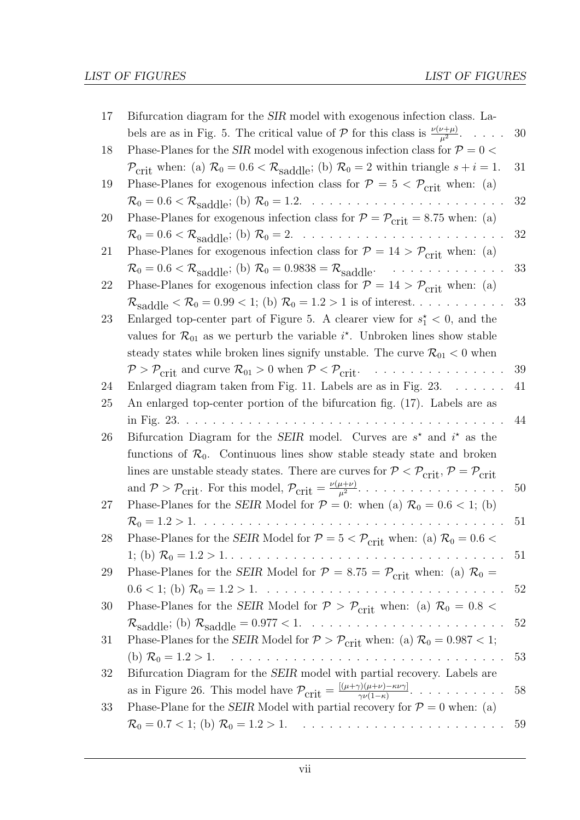| 17 | Bifurcation diagram for the <i>SIR</i> model with exogenous infection class. La-                                                                                                                                                  |    |
|----|-----------------------------------------------------------------------------------------------------------------------------------------------------------------------------------------------------------------------------------|----|
|    | bels are as in Fig. 5. The critical value of $P$ for this class is $\frac{\nu(\nu+\mu)}{n^2}$ .                                                                                                                                   | 30 |
| 18 | Phase-Planes for the SIR model with exogenous infection class for $P = 0$                                                                                                                                                         |    |
|    | $\mathcal{P}_{\text{crit}}$ when: (a) $\mathcal{R}_0 = 0.6 < \mathcal{R}_{\text{saddle}}$ ; (b) $\mathcal{R}_0 = 2$ within triangle $s + i = 1$ .                                                                                 | 31 |
| 19 | Phase-Planes for exogenous infection class for $P = 5 < P_{\text{crit}}$ when: (a)                                                                                                                                                |    |
|    |                                                                                                                                                                                                                                   | 32 |
| 20 | Phase-Planes for exogenous infection class for $P = P_{\text{crit}} = 8.75$ when: (a)                                                                                                                                             |    |
|    | $\mathcal{R}_0 = 0.6 < \mathcal{R}_{saddle}$ ; (b) $\mathcal{R}_0 = 2$<br>$\alpha$ , and a set of the set of the set of the $\alpha$<br>$\sim$ $\sim$                                                                             | 32 |
| 21 | Phase-Planes for exogenous infection class for $P = 14 > P_{\text{crit}}$ when: (a)                                                                                                                                               |    |
|    | $\mathcal{R}_0 = 0.6 < \mathcal{R}_{saddle}$ ; (b) $\mathcal{R}_0 = 0.9838 = \mathcal{R}_{saddle}$ .<br>$\mathcal{L}^{\pm}$ , $\mathcal{L}^{\pm}$ , $\mathcal{L}^{\pm}$                                                           | 33 |
| 22 | Phase-Planes for exogenous infection class for $P = 14 > P_{\text{crit}}$ when: (a)                                                                                                                                               |    |
|    | $\mathcal{R}_{\text{saddle}} < \mathcal{R}_0 = 0.99 < 1$ ; (b) $\mathcal{R}_0 = 1.2 > 1$ is of interest                                                                                                                           | 33 |
| 23 | Enlarged top-center part of Figure 5. A clearer view for $s_1^* < 0$ , and the                                                                                                                                                    |    |
|    | values for $\mathcal{R}_{01}$ as we perturb the variable $i^*$ . Unbroken lines show stable                                                                                                                                       |    |
|    | steady states while broken lines signify unstable. The curve $\mathcal{R}_{01} < 0$ when                                                                                                                                          |    |
|    | $P > P_{\text{crit}}$ and curve $\mathcal{R}_{01} > 0$ when $P < P_{\text{crit}}$ .<br>$\mathcal{L}$ , and a set of the set of the $\mathcal{L}$                                                                                  | 39 |
| 24 | Enlarged diagram taken from Fig. 11. Labels are as in Fig. $23. \ldots \ldots$                                                                                                                                                    | 41 |
| 25 | An enlarged top-center portion of the bifurcation fig. (17). Labels are as                                                                                                                                                        |    |
|    | in Fig. $23. \ldots$ .                                                                                                                                                                                                            | 44 |
| 26 | Bifurcation Diagram for the SEIR model. Curves are $s^*$ and $i^*$ as the                                                                                                                                                         |    |
|    | functions of $\mathcal{R}_0$ . Continuous lines show stable steady state and broken                                                                                                                                               |    |
|    | lines are unstable steady states. There are curves for $P < P_{\text{crit}}$ , $P = P_{\text{crit}}$                                                                                                                              |    |
|    | and $P > P_{\text{crit}}$ . For this model, $P_{\text{crit}} = \frac{\nu(\mu+\nu)}{\mu^2}$ .                                                                                                                                      | 50 |
| 27 | Phase-Planes for the SEIR Model for $P = 0$ : when (a) $\mathcal{R}_0 = 0.6 < 1$ ; (b)                                                                                                                                            |    |
|    | $\mathcal{R}_0 = 1.2 > 1.$                                                                                                                                                                                                        | 51 |
| 28 | Phase-Planes for the SEIR Model for $\mathcal{P} = 5 < \mathcal{P}_{crit}$ when: (a) $\mathcal{R}_0 = 0.6 <$                                                                                                                      |    |
|    |                                                                                                                                                                                                                                   | 51 |
| 29 | Phase-Planes for the SEIR Model for $P = 8.75 = P_{\text{crit}}$ when: (a) $\mathcal{R}_0 =$                                                                                                                                      |    |
|    |                                                                                                                                                                                                                                   | 52 |
| 30 | Phase-Planes for the SEIR Model for $P > P_{\text{crit}}$ when: (a) $\mathcal{R}_0 = 0.8$                                                                                                                                         |    |
|    |                                                                                                                                                                                                                                   | 52 |
| 31 | Phase-Planes for the SEIR Model for $P > P_{\text{crit}}$ when: (a) $R_0 = 0.987 < 1$ ;                                                                                                                                           |    |
|    | (b) $\mathcal{R}_0 = 1.2 > 1$ .                                                                                                                                                                                                   | 53 |
| 32 | Bifurcation Diagram for the SEIR model with partial recovery. Labels are                                                                                                                                                          |    |
|    | as in Figure 26. This model have $\mathcal{P}_{\text{crit}} = \frac{[(\mu + \gamma)(\mu + \nu) - \kappa \nu \gamma]}{\gamma \nu (1 - \kappa)}$ .<br>$\begin{array}{cccccccccccccc} . & . & . & . & . & . & . & . & . \end{array}$ | 58 |
| 33 | Phase-Plane for the SEIR Model with partial recovery for $P = 0$ when: (a)                                                                                                                                                        |    |
|    |                                                                                                                                                                                                                                   | 59 |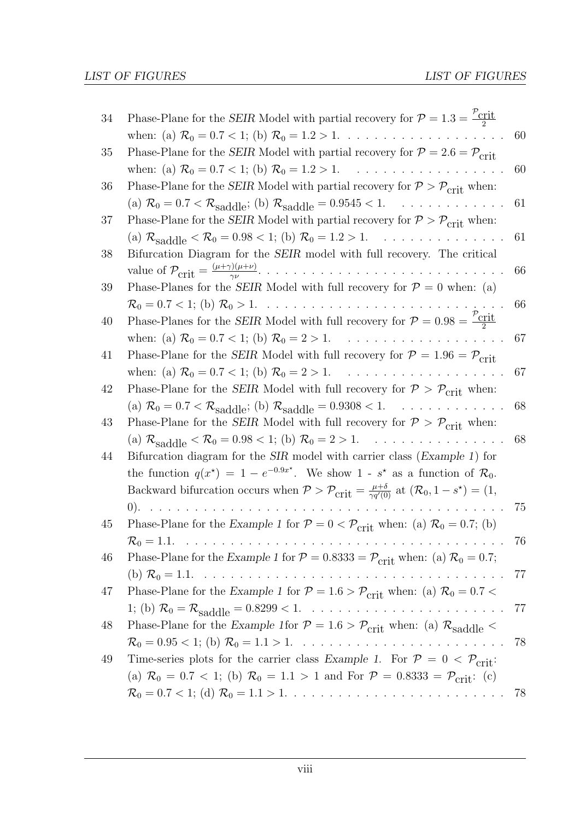| 34 | Phase-Plane for the SEIR Model with partial recovery for $P = 1.3 = \frac{P_{\text{crit}}}{2}$                                                                    |    |
|----|-------------------------------------------------------------------------------------------------------------------------------------------------------------------|----|
|    | when: (a) $\mathcal{R}_0 = 0.7 < 1$ ; (b) $\mathcal{R}_0 = 1.2 > 1$ .                                                                                             | 60 |
| 35 | Phase-Plane for the SEIR Model with partial recovery for $\mathcal{P}=2.6=\mathcal{P}_{\rm crit}$                                                                 |    |
|    | when: (a) $\mathcal{R}_0 = 0.7 < 1$ ; (b) $\mathcal{R}_0 = 1.2 > 1$ .                                                                                             | 60 |
| 36 | Phase-Plane for the SEIR Model with partial recovery for $P > P_{\text{crit}}$ when:                                                                              |    |
|    | (a) $\mathcal{R}_0 = 0.7 < \mathcal{R}_{saddle}$ ; (b) $\mathcal{R}_{saddle} = 0.9545 < 1.$                                                                       | 61 |
| 37 | Phase-Plane for the SEIR Model with partial recovery for $P > P_{\text{crit}}$ when:                                                                              |    |
|    | (a) $\mathcal{R}_{\text{saddle}} < \mathcal{R}_0 = 0.98 < 1$ ; (b) $\mathcal{R}_0 = 1.2 > 1$ .<br>$\mathcal{L}^{\pm}$ , $\mathcal{L}^{\pm}$ , $\mathcal{L}^{\pm}$ | 61 |
| 38 | Bifurcation Diagram for the <i>SEIR</i> model with full recovery. The critical                                                                                    |    |
|    |                                                                                                                                                                   | 66 |
| 39 | Phase-Planes for the SEIR Model with full recovery for $P = 0$ when: (a)                                                                                          |    |
|    | $\mathcal{R}_0 = 0.7 < 1$ ; (b) $\mathcal{R}_0 > 1$ .                                                                                                             | 66 |
| 40 | Phase-Planes for the SEIR Model with full recovery for $P = 0.98 = \frac{\mathcal{V}_{\text{crit}}}{2}$                                                           |    |
|    | when: (a) $\mathcal{R}_0 = 0.7 < 1$ ; (b) $\mathcal{R}_0 = 2 > 1$ .<br>and a construction of the construction                                                     | 67 |
| 41 | Phase-Plane for the SEIR Model with full recovery for $P = 1.96 = P_{\text{crit}}$                                                                                |    |
|    | when: (a) $\mathcal{R}_0 = 0.7 < 1$ ; (b) $\mathcal{R}_0 = 2 > 1$ .<br>$\sim$                                                                                     | 67 |
| 42 | Phase-Plane for the SEIR Model with full recovery for $P > P_{\text{crit}}$ when:                                                                                 |    |
|    | (a) $\mathcal{R}_0 = 0.7 < \mathcal{R}_{saddle}$ ; (b) $\mathcal{R}_{saddle} = 0.9308 < 1$ .                                                                      | 68 |
| 43 | Phase-Plane for the SEIR Model with full recovery for $P > P_{\text{crit}}$ when:                                                                                 |    |
|    | (a) $\mathcal{R}_{\text{saddle}} < \mathcal{R}_0 = 0.98 < 1$ ; (b) $\mathcal{R}_0 = 2 > 1$ .                                                                      | 68 |
| 44 | Bifurcation diagram for the SIR model with carrier class (Example 1) for                                                                                          |    |
|    | the function $q(x^*) = 1 - e^{-0.9x^*}$ . We show 1 - s <sup>*</sup> as a function of $\mathcal{R}_0$ .                                                           |    |
|    | Backward bifurcation occurs when $P > P_{\text{crit}} = \frac{\mu + \delta}{\gamma q'(0)}$ at $(\mathcal{R}_0, 1 - s^*) = (1,$                                    |    |
|    | (0).<br>$\mathbb{R}^2$ .                                                                                                                                          | 75 |
| 45 | Phase-Plane for the Example 1 for $P = 0 < P_{\text{crit}}$ when: (a) $\mathcal{R}_0 = 0.7$ ; (b)                                                                 |    |
|    |                                                                                                                                                                   | 76 |
| 46 | Phase-Plane for the Example 1 for $P = 0.8333 = P_{\text{crit}}$ when: (a) $\mathcal{R}_0 = 0.7$ ;                                                                |    |
|    |                                                                                                                                                                   | 77 |
| 47 | Phase-Plane for the Example 1 for $\mathcal{P} = 1.6 > \mathcal{P}_{crit}$ when: (a) $\mathcal{R}_0 = 0.7 <$                                                      |    |
|    |                                                                                                                                                                   | 77 |
| 48 | Phase-Plane for the Example 1 for $P = 1.6 > P_{\text{crit}}$ when: (a) $R_{\text{saddle}} <$                                                                     |    |
|    |                                                                                                                                                                   | 78 |
| 49 | Time-series plots for the carrier class Example 1. For $P = 0 < P_{\text{crit}}$ :                                                                                |    |
|    | (a) $\mathcal{R}_0 = 0.7 < 1$ ; (b) $\mathcal{R}_0 = 1.1 > 1$ and For $\mathcal{P} = 0.8333 = \mathcal{P}_{\text{crit}}$ : (c)                                    |    |
|    |                                                                                                                                                                   | 78 |
|    |                                                                                                                                                                   |    |